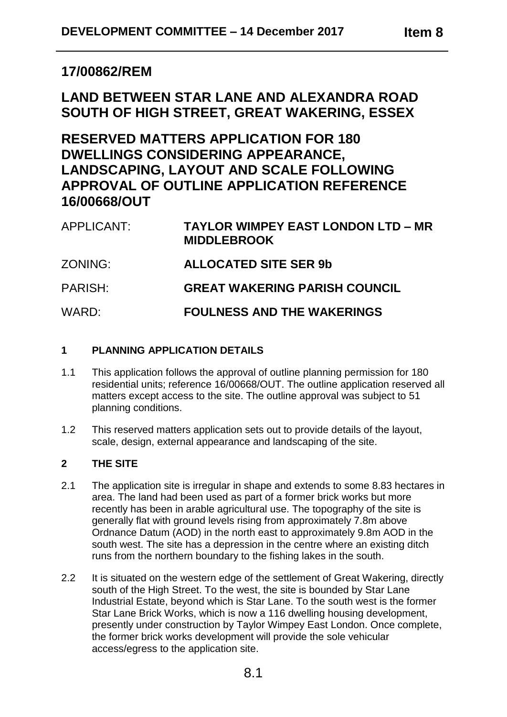# **17/00862/REM**

# **LAND BETWEEN STAR LANE AND ALEXANDRA ROAD SOUTH OF HIGH STREET, GREAT WAKERING, ESSEX**

# **RESERVED MATTERS APPLICATION FOR 180 DWELLINGS CONSIDERING APPEARANCE, LANDSCAPING, LAYOUT AND SCALE FOLLOWING APPROVAL OF OUTLINE APPLICATION REFERENCE 16/00668/OUT**

| APPLICANT: | <b>TAYLOR WIMPEY EAST LONDON LTD – MR</b><br><b>MIDDLEBROOK</b> |
|------------|-----------------------------------------------------------------|
| ZONING:    | <b>ALLOCATED SITE SER 9b</b>                                    |
| PARISH:    | <b>GREAT WAKERING PARISH COUNCIL</b>                            |
| WARD:      | <b>FOULNESS AND THE WAKERINGS</b>                               |

# **1 PLANNING APPLICATION DETAILS**

- 1.1 This application follows the approval of outline planning permission for 180 residential units; reference 16/00668/OUT. The outline application reserved all matters except access to the site. The outline approval was subject to 51 planning conditions.
- 1.2 This reserved matters application sets out to provide details of the layout, scale, design, external appearance and landscaping of the site.

# **2 THE SITE**

- 2.1 The application site is irregular in shape and extends to some 8.83 hectares in area. The land had been used as part of a former brick works but more recently has been in arable agricultural use. The topography of the site is generally flat with ground levels rising from approximately 7.8m above Ordnance Datum (AOD) in the north east to approximately 9.8m AOD in the south west. The site has a depression in the centre where an existing ditch runs from the northern boundary to the fishing lakes in the south.
- 2.2 It is situated on the western edge of the settlement of Great Wakering, directly south of the High Street. To the west, the site is bounded by Star Lane Industrial Estate, beyond which is Star Lane. To the south west is the former Star Lane Brick Works, which is now a 116 dwelling housing development, presently under construction by Taylor Wimpey East London. Once complete, the former brick works development will provide the sole vehicular access/egress to the application site.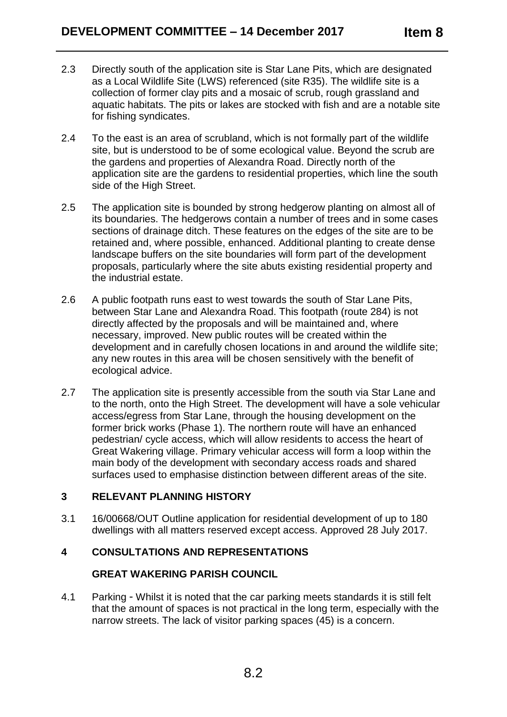- 2.3 Directly south of the application site is Star Lane Pits, which are designated as a Local Wildlife Site (LWS) referenced (site R35). The wildlife site is a collection of former clay pits and a mosaic of scrub, rough grassland and aquatic habitats. The pits or lakes are stocked with fish and are a notable site for fishing syndicates.
- 2.4 To the east is an area of scrubland, which is not formally part of the wildlife site, but is understood to be of some ecological value. Beyond the scrub are the gardens and properties of Alexandra Road. Directly north of the application site are the gardens to residential properties, which line the south side of the High Street.
- 2.5 The application site is bounded by strong hedgerow planting on almost all of its boundaries. The hedgerows contain a number of trees and in some cases sections of drainage ditch. These features on the edges of the site are to be retained and, where possible, enhanced. Additional planting to create dense landscape buffers on the site boundaries will form part of the development proposals, particularly where the site abuts existing residential property and the industrial estate.
- 2.6 A public footpath runs east to west towards the south of Star Lane Pits, between Star Lane and Alexandra Road. This footpath (route 284) is not directly affected by the proposals and will be maintained and, where necessary, improved. New public routes will be created within the development and in carefully chosen locations in and around the wildlife site; any new routes in this area will be chosen sensitively with the benefit of ecological advice.
- 2.7 The application site is presently accessible from the south via Star Lane and to the north, onto the High Street. The development will have a sole vehicular access/egress from Star Lane, through the housing development on the former brick works (Phase 1). The northern route will have an enhanced pedestrian/ cycle access, which will allow residents to access the heart of Great Wakering village. Primary vehicular access will form a loop within the main body of the development with secondary access roads and shared surfaces used to emphasise distinction between different areas of the site.

# **3 RELEVANT PLANNING HISTORY**

3.1 16/00668/OUT Outline application for residential development of up to 180 dwellings with all matters reserved except access. Approved 28 July 2017.

# **4 CONSULTATIONS AND REPRESENTATIONS**

# **GREAT WAKERING PARISH COUNCIL**

4.1 Parking - Whilst it is noted that the car parking meets standards it is still felt that the amount of spaces is not practical in the long term, especially with the narrow streets. The lack of visitor parking spaces (45) is a concern.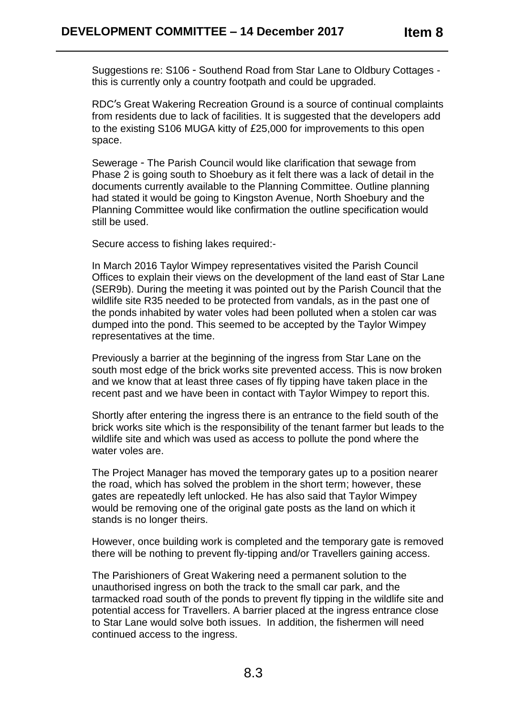Suggestions re: S106 - Southend Road from Star Lane to Oldbury Cottages this is currently only a country footpath and could be upgraded.

RDC's Great Wakering Recreation Ground is a source of continual complaints from residents due to lack of facilities. It is suggested that the developers add to the existing S106 MUGA kitty of £25,000 for improvements to this open space.

Sewerage - The Parish Council would like clarification that sewage from Phase 2 is going south to Shoebury as it felt there was a lack of detail in the documents currently available to the Planning Committee. Outline planning had stated it would be going to Kingston Avenue, North Shoebury and the Planning Committee would like confirmation the outline specification would still be used.

Secure access to fishing lakes required:-

In March 2016 Taylor Wimpey representatives visited the Parish Council Offices to explain their views on the development of the land east of Star Lane (SER9b). During the meeting it was pointed out by the Parish Council that the wildlife site R35 needed to be protected from vandals, as in the past one of the ponds inhabited by water voles had been polluted when a stolen car was dumped into the pond. This seemed to be accepted by the Taylor Wimpey representatives at the time.

Previously a barrier at the beginning of the ingress from Star Lane on the south most edge of the brick works site prevented access. This is now broken and we know that at least three cases of fly tipping have taken place in the recent past and we have been in contact with Taylor Wimpey to report this.

Shortly after entering the ingress there is an entrance to the field south of the brick works site which is the responsibility of the tenant farmer but leads to the wildlife site and which was used as access to pollute the pond where the water voles are.

The Project Manager has moved the temporary gates up to a position nearer the road, which has solved the problem in the short term; however, these gates are repeatedly left unlocked. He has also said that Taylor Wimpey would be removing one of the original gate posts as the land on which it stands is no longer theirs.

However, once building work is completed and the temporary gate is removed there will be nothing to prevent fly-tipping and/or Travellers gaining access.

The Parishioners of Great Wakering need a permanent solution to the unauthorised ingress on both the track to the small car park, and the tarmacked road south of the ponds to prevent fly tipping in the wildlife site and potential access for Travellers. A barrier placed at the ingress entrance close to Star Lane would solve both issues. In addition, the fishermen will need continued access to the ingress.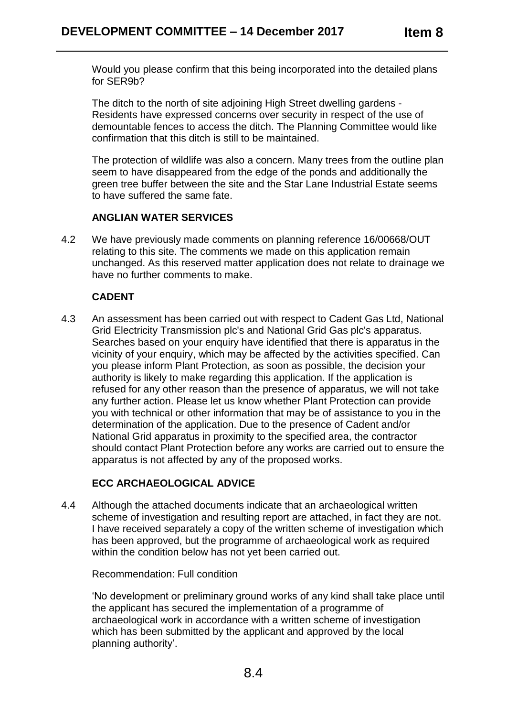Would you please confirm that this being incorporated into the detailed plans for SER9b?

The ditch to the north of site adjoining High Street dwelling gardens - Residents have expressed concerns over security in respect of the use of demountable fences to access the ditch. The Planning Committee would like confirmation that this ditch is still to be maintained.

The protection of wildlife was also a concern. Many trees from the outline plan seem to have disappeared from the edge of the ponds and additionally the green tree buffer between the site and the Star Lane Industrial Estate seems to have suffered the same fate.

# **ANGLIAN WATER SERVICES**

4.2 We have previously made comments on planning reference 16/00668/OUT relating to this site. The comments we made on this application remain unchanged. As this reserved matter application does not relate to drainage we have no further comments to make.

# **CADENT**

4.3 An assessment has been carried out with respect to Cadent Gas Ltd, National Grid Electricity Transmission plc's and National Grid Gas plc's apparatus. Searches based on your enquiry have identified that there is apparatus in the vicinity of your enquiry, which may be affected by the activities specified. Can you please inform Plant Protection, as soon as possible, the decision your authority is likely to make regarding this application. If the application is refused for any other reason than the presence of apparatus, we will not take any further action. Please let us know whether Plant Protection can provide you with technical or other information that may be of assistance to you in the determination of the application. Due to the presence of Cadent and/or National Grid apparatus in proximity to the specified area, the contractor should contact Plant Protection before any works are carried out to ensure the apparatus is not affected by any of the proposed works.

# **ECC ARCHAEOLOGICAL ADVICE**

4.4 Although the attached documents indicate that an archaeological written scheme of investigation and resulting report are attached, in fact they are not. I have received separately a copy of the written scheme of investigation which has been approved, but the programme of archaeological work as required within the condition below has not yet been carried out.

Recommendation: Full condition

'No development or preliminary ground works of any kind shall take place until the applicant has secured the implementation of a programme of archaeological work in accordance with a written scheme of investigation which has been submitted by the applicant and approved by the local planning authority'.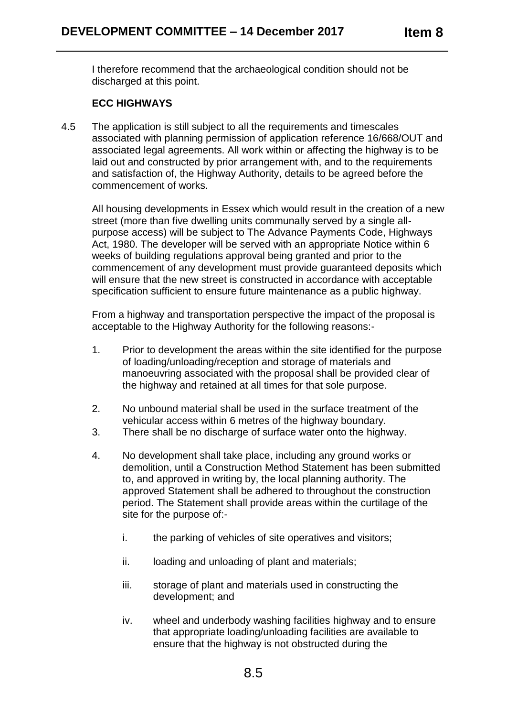I therefore recommend that the archaeological condition should not be discharged at this point.

# **ECC HIGHWAYS**

4.5 The application is still subject to all the requirements and timescales associated with planning permission of application reference 16/668/OUT and associated legal agreements. All work within or affecting the highway is to be laid out and constructed by prior arrangement with, and to the requirements and satisfaction of, the Highway Authority, details to be agreed before the commencement of works.

All housing developments in Essex which would result in the creation of a new street (more than five dwelling units communally served by a single allpurpose access) will be subject to The Advance Payments Code, Highways Act, 1980. The developer will be served with an appropriate Notice within 6 weeks of building regulations approval being granted and prior to the commencement of any development must provide guaranteed deposits which will ensure that the new street is constructed in accordance with acceptable specification sufficient to ensure future maintenance as a public highway.

From a highway and transportation perspective the impact of the proposal is acceptable to the Highway Authority for the following reasons:-

- 1. Prior to development the areas within the site identified for the purpose of loading/unloading/reception and storage of materials and manoeuvring associated with the proposal shall be provided clear of the highway and retained at all times for that sole purpose.
- 2. No unbound material shall be used in the surface treatment of the vehicular access within 6 metres of the highway boundary.
- 3. There shall be no discharge of surface water onto the highway.
- 4. No development shall take place, including any ground works or demolition, until a Construction Method Statement has been submitted to, and approved in writing by, the local planning authority. The approved Statement shall be adhered to throughout the construction period. The Statement shall provide areas within the curtilage of the site for the purpose of:
	- i. the parking of vehicles of site operatives and visitors;
	- ii. loading and unloading of plant and materials;
	- iii. storage of plant and materials used in constructing the development; and
	- iv. wheel and underbody washing facilities highway and to ensure that appropriate loading/unloading facilities are available to ensure that the highway is not obstructed during the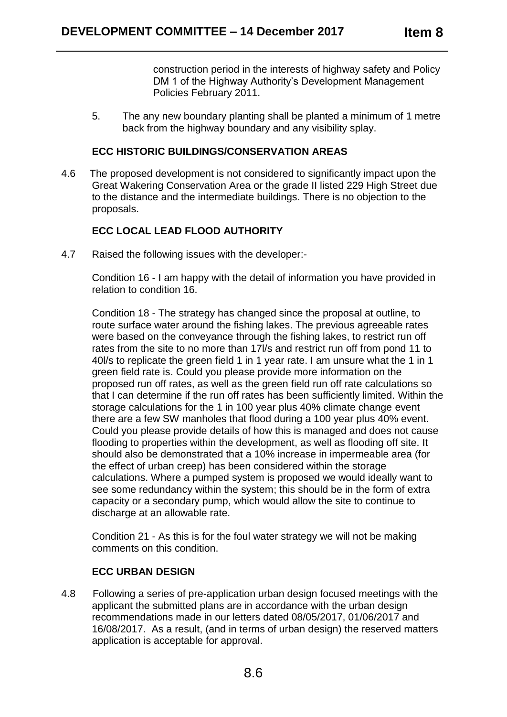construction period in the interests of highway safety and Policy DM 1 of the Highway Authority's Development Management Policies February 2011.

5. The any new boundary planting shall be planted a minimum of 1 metre back from the highway boundary and any visibility splay.

# **ECC HISTORIC BUILDINGS/CONSERVATION AREAS**

4.6 The proposed development is not considered to significantly impact upon the Great Wakering Conservation Area or the grade II listed 229 High Street due to the distance and the intermediate buildings. There is no objection to the proposals.

# **ECC LOCAL LEAD FLOOD AUTHORITY**

4.7 Raised the following issues with the developer:-

Condition 16 - I am happy with the detail of information you have provided in relation to condition 16.

Condition 18 - The strategy has changed since the proposal at outline, to route surface water around the fishing lakes. The previous agreeable rates were based on the conveyance through the fishing lakes, to restrict run off rates from the site to no more than 17l/s and restrict run off from pond 11 to 40l/s to replicate the green field 1 in 1 year rate. I am unsure what the 1 in 1 green field rate is. Could you please provide more information on the proposed run off rates, as well as the green field run off rate calculations so that I can determine if the run off rates has been sufficiently limited. Within the storage calculations for the 1 in 100 year plus 40% climate change event there are a few SW manholes that flood during a 100 year plus 40% event. Could you please provide details of how this is managed and does not cause flooding to properties within the development, as well as flooding off site. It should also be demonstrated that a 10% increase in impermeable area (for the effect of urban creep) has been considered within the storage calculations. Where a pumped system is proposed we would ideally want to see some redundancy within the system; this should be in the form of extra capacity or a secondary pump, which would allow the site to continue to discharge at an allowable rate.

Condition 21 - As this is for the foul water strategy we will not be making comments on this condition.

# **ECC URBAN DESIGN**

4.8 Following a series of pre-application urban design focused meetings with the applicant the submitted plans are in accordance with the urban design recommendations made in our letters dated 08/05/2017, 01/06/2017 and 16/08/2017. As a result, (and in terms of urban design) the reserved matters application is acceptable for approval.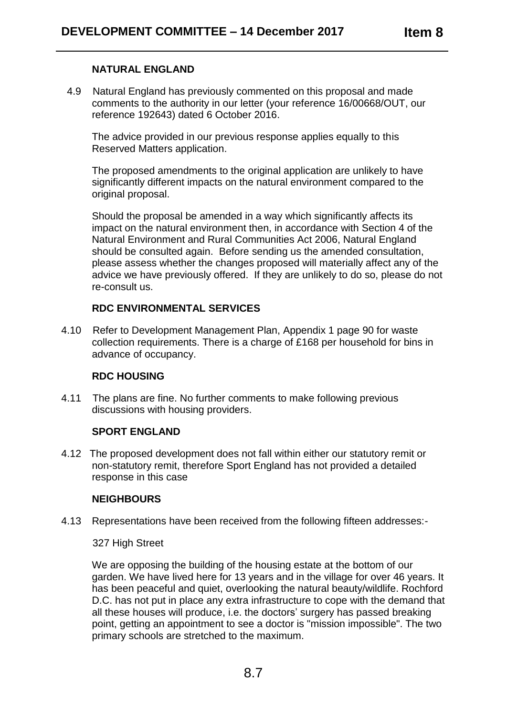# **NATURAL ENGLAND**

 4.9 Natural England has previously commented on this proposal and made comments to the authority in our letter (your reference 16/00668/OUT, our reference 192643) dated 6 October 2016.

The advice provided in our previous response applies equally to this Reserved Matters application.

The proposed amendments to the original application are unlikely to have significantly different impacts on the natural environment compared to the original proposal.

Should the proposal be amended in a way which significantly affects its impact on the natural environment then, in accordance with Section 4 of the Natural Environment and Rural Communities Act 2006, Natural England should be consulted again. Before sending us the amended consultation, please assess whether the changes proposed will materially affect any of the advice we have previously offered. If they are unlikely to do so, please do not re-consult us.

# **RDC ENVIRONMENTAL SERVICES**

4.10 Refer to Development Management Plan, Appendix 1 page 90 for waste collection requirements. There is a charge of £168 per household for bins in advance of occupancy.

# **RDC HOUSING**

4.11 The plans are fine. No further comments to make following previous discussions with housing providers.

# **SPORT ENGLAND**

4.12 The proposed development does not fall within either our statutory remit or non-statutory remit, therefore Sport England has not provided a detailed response in this case

# **NEIGHBOURS**

4.13 Representations have been received from the following fifteen addresses:-

# 327 High Street

We are opposing the building of the housing estate at the bottom of our garden. We have lived here for 13 years and in the village for over 46 years. It has been peaceful and quiet, overlooking the natural beauty/wildlife. Rochford D.C. has not put in place any extra infrastructure to cope with the demand that all these houses will produce, i.e. the doctors' surgery has passed breaking point, getting an appointment to see a doctor is "mission impossible". The two primary schools are stretched to the maximum.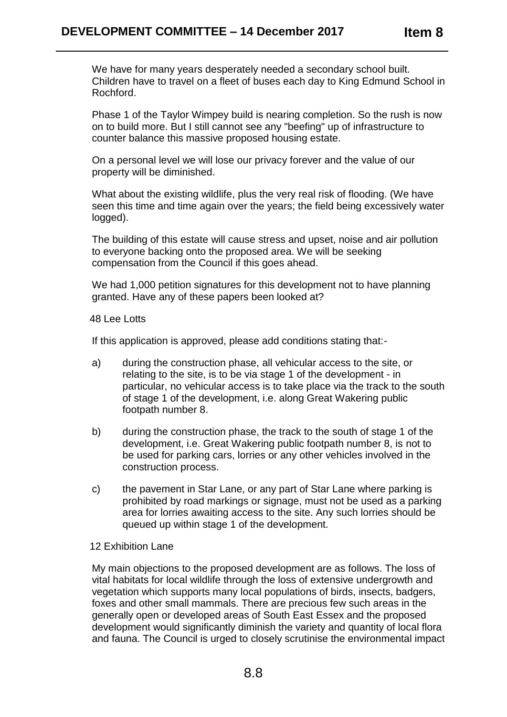We have for many years desperately needed a secondary school built. Children have to travel on a fleet of buses each day to King Edmund School in Rochford.

Phase 1 of the Taylor Wimpey build is nearing completion. So the rush is now on to build more. But I still cannot see any "beefing" up of infrastructure to counter balance this massive proposed housing estate.

On a personal level we will lose our privacy forever and the value of our property will be diminished.

What about the existing wildlife, plus the very real risk of flooding. (We have seen this time and time again over the years; the field being excessively water logged).

The building of this estate will cause stress and upset, noise and air pollution to everyone backing onto the proposed area. We will be seeking compensation from the Council if this goes ahead.

We had 1,000 petition signatures for this development not to have planning granted. Have any of these papers been looked at?

48 Lee Lotts

If this application is approved, please add conditions stating that:-

- a) during the construction phase, all vehicular access to the site, or relating to the site, is to be via stage 1 of the development - in particular, no vehicular access is to take place via the track to the south of stage 1 of the development, i.e. along Great Wakering public footpath number 8.
- b) during the construction phase, the track to the south of stage 1 of the development, i.e. Great Wakering public footpath number 8, is not to be used for parking cars, lorries or any other vehicles involved in the construction process.
- c) the pavement in Star Lane, or any part of Star Lane where parking is prohibited by road markings or signage, must not be used as a parking area for lorries awaiting access to the site. Any such lorries should be queued up within stage 1 of the development.

# 12 Exhibition Lane

My main objections to the proposed development are as follows. The loss of vital habitats for local wildlife through the loss of extensive undergrowth and vegetation which supports many local populations of birds, insects, badgers, foxes and other small mammals. There are precious few such areas in the generally open or developed areas of South East Essex and the proposed development would significantly diminish the variety and quantity of local flora and fauna. The Council is urged to closely scrutinise the environmental impact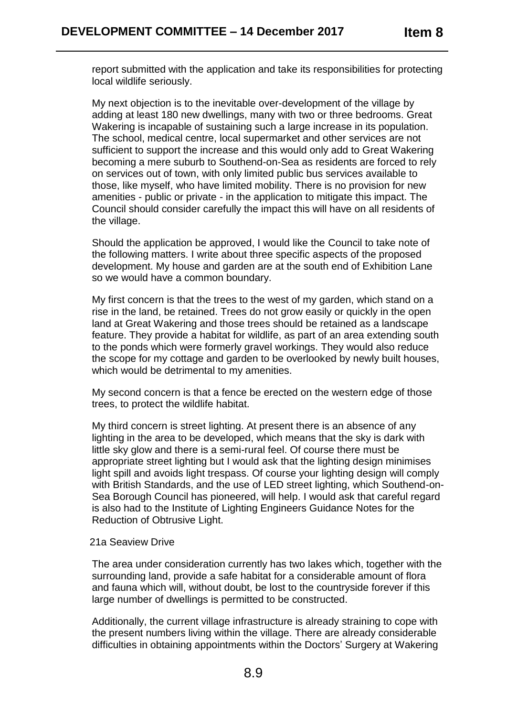report submitted with the application and take its responsibilities for protecting local wildlife seriously.

My next objection is to the inevitable over-development of the village by adding at least 180 new dwellings, many with two or three bedrooms. Great Wakering is incapable of sustaining such a large increase in its population. The school, medical centre, local supermarket and other services are not sufficient to support the increase and this would only add to Great Wakering becoming a mere suburb to Southend-on-Sea as residents are forced to rely on services out of town, with only limited public bus services available to those, like myself, who have limited mobility. There is no provision for new amenities - public or private - in the application to mitigate this impact. The Council should consider carefully the impact this will have on all residents of the village.

Should the application be approved, I would like the Council to take note of the following matters. I write about three specific aspects of the proposed development. My house and garden are at the south end of Exhibition Lane so we would have a common boundary.

My first concern is that the trees to the west of my garden, which stand on a rise in the land, be retained. Trees do not grow easily or quickly in the open land at Great Wakering and those trees should be retained as a landscape feature. They provide a habitat for wildlife, as part of an area extending south to the ponds which were formerly gravel workings. They would also reduce the scope for my cottage and garden to be overlooked by newly built houses, which would be detrimental to my amenities.

My second concern is that a fence be erected on the western edge of those trees, to protect the wildlife habitat.

My third concern is street lighting. At present there is an absence of any lighting in the area to be developed, which means that the sky is dark with little sky glow and there is a semi-rural feel. Of course there must be appropriate street lighting but I would ask that the lighting design minimises light spill and avoids light trespass. Of course your lighting design will comply with British Standards, and the use of LED street lighting, which Southend-on-Sea Borough Council has pioneered, will help. I would ask that careful regard is also had to the Institute of Lighting Engineers Guidance Notes for the Reduction of Obtrusive Light.

#### 21a Seaview Drive

The area under consideration currently has two lakes which, together with the surrounding land, provide a safe habitat for a considerable amount of flora and fauna which will, without doubt, be lost to the countryside forever if this large number of dwellings is permitted to be constructed.

Additionally, the current village infrastructure is already straining to cope with the present numbers living within the village. There are already considerable difficulties in obtaining appointments within the Doctors' Surgery at Wakering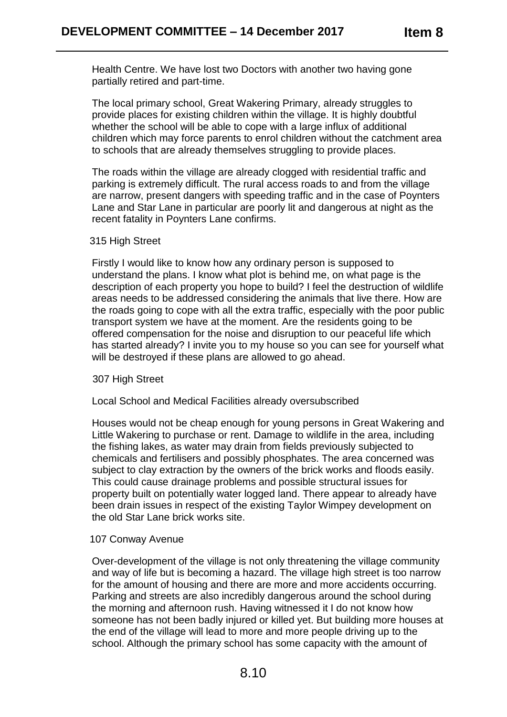Health Centre. We have lost two Doctors with another two having gone partially retired and part-time.

The local primary school, Great Wakering Primary, already struggles to provide places for existing children within the village. It is highly doubtful whether the school will be able to cope with a large influx of additional children which may force parents to enrol children without the catchment area to schools that are already themselves struggling to provide places.

The roads within the village are already clogged with residential traffic and parking is extremely difficult. The rural access roads to and from the village are narrow, present dangers with speeding traffic and in the case of Poynters Lane and Star Lane in particular are poorly lit and dangerous at night as the recent fatality in Poynters Lane confirms.

### 315 High Street

Firstly I would like to know how any ordinary person is supposed to understand the plans. I know what plot is behind me, on what page is the description of each property you hope to build? I feel the destruction of wildlife areas needs to be addressed considering the animals that live there. How are the roads going to cope with all the extra traffic, especially with the poor public transport system we have at the moment. Are the residents going to be offered compensation for the noise and disruption to our peaceful life which has started already? I invite you to my house so you can see for yourself what will be destroyed if these plans are allowed to go ahead.

#### 307 High Street

# Local School and Medical Facilities already oversubscribed

Houses would not be cheap enough for young persons in Great Wakering and Little Wakering to purchase or rent. Damage to wildlife in the area, including the fishing lakes, as water may drain from fields previously subjected to chemicals and fertilisers and possibly phosphates. The area concerned was subject to clay extraction by the owners of the brick works and floods easily. This could cause drainage problems and possible structural issues for property built on potentially water logged land. There appear to already have been drain issues in respect of the existing Taylor Wimpey development on the old Star Lane brick works site.

#### 107 Conway Avenue

Over-development of the village is not only threatening the village community and way of life but is becoming a hazard. The village high street is too narrow for the amount of housing and there are more and more accidents occurring. Parking and streets are also incredibly dangerous around the school during the morning and afternoon rush. Having witnessed it I do not know how someone has not been badly injured or killed yet. But building more houses at the end of the village will lead to more and more people driving up to the school. Although the primary school has some capacity with the amount of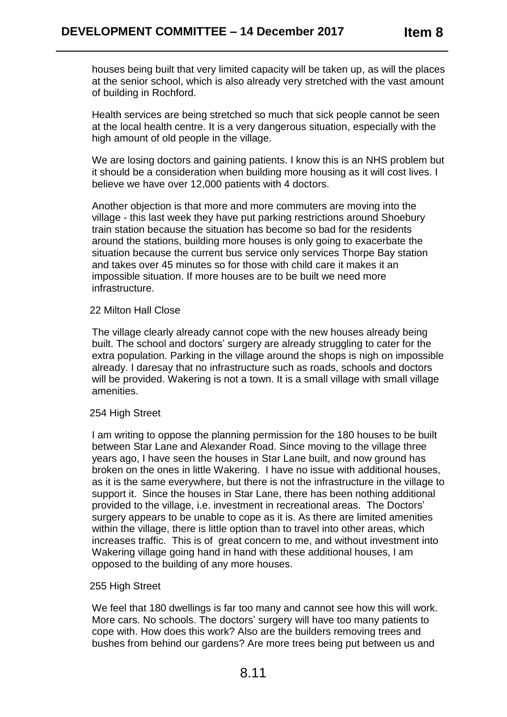houses being built that very limited capacity will be taken up, as will the places at the senior school, which is also already very stretched with the vast amount of building in Rochford.

Health services are being stretched so much that sick people cannot be seen at the local health centre. It is a very dangerous situation, especially with the high amount of old people in the village.

We are losing doctors and gaining patients. I know this is an NHS problem but it should be a consideration when building more housing as it will cost lives. I believe we have over 12,000 patients with 4 doctors.

Another objection is that more and more commuters are moving into the village - this last week they have put parking restrictions around Shoebury train station because the situation has become so bad for the residents around the stations, building more houses is only going to exacerbate the situation because the current bus service only services Thorpe Bay station and takes over 45 minutes so for those with child care it makes it an impossible situation. If more houses are to be built we need more infrastructure.

### 22 Milton Hall Close

The village clearly already cannot cope with the new houses already being built. The school and doctors' surgery are already struggling to cater for the extra population. Parking in the village around the shops is nigh on impossible already. I daresay that no infrastructure such as roads, schools and doctors will be provided. Wakering is not a town. It is a small village with small village amenities.

# 254 High Street

I am writing to oppose the planning permission for the 180 houses to be built between Star Lane and Alexander Road. Since moving to the village three years ago, I have seen the houses in Star Lane built, and now ground has broken on the ones in little Wakering. I have no issue with additional houses, as it is the same everywhere, but there is not the infrastructure in the village to support it. Since the houses in Star Lane, there has been nothing additional provided to the village, i.e. investment in recreational areas. The Doctors' surgery appears to be unable to cope as it is. As there are limited amenities within the village, there is little option than to travel into other areas, which increases traffic. This is of great concern to me, and without investment into Wakering village going hand in hand with these additional houses, I am opposed to the building of any more houses.

#### 255 High Street

We feel that 180 dwellings is far too many and cannot see how this will work. More cars. No schools. The doctors' surgery will have too many patients to cope with. How does this work? Also are the builders removing trees and bushes from behind our gardens? Are more trees being put between us and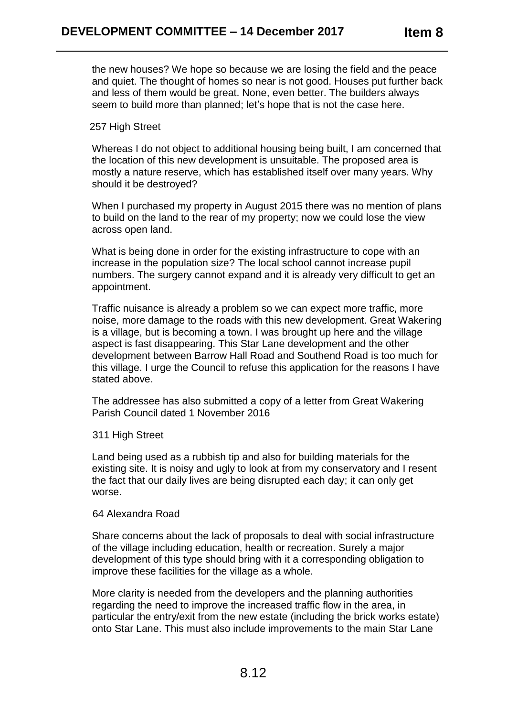the new houses? We hope so because we are losing the field and the peace and quiet. The thought of homes so near is not good. Houses put further back and less of them would be great. None, even better. The builders always seem to build more than planned; let's hope that is not the case here.

## 257 High Street

Whereas I do not object to additional housing being built, I am concerned that the location of this new development is unsuitable. The proposed area is mostly a nature reserve, which has established itself over many years. Why should it be destroyed?

When I purchased my property in August 2015 there was no mention of plans to build on the land to the rear of my property; now we could lose the view across open land.

What is being done in order for the existing infrastructure to cope with an increase in the population size? The local school cannot increase pupil numbers. The surgery cannot expand and it is already very difficult to get an appointment.

Traffic nuisance is already a problem so we can expect more traffic, more noise, more damage to the roads with this new development. Great Wakering is a village, but is becoming a town. I was brought up here and the village aspect is fast disappearing. This Star Lane development and the other development between Barrow Hall Road and Southend Road is too much for this village. I urge the Council to refuse this application for the reasons I have stated above.

The addressee has also submitted a copy of a letter from Great Wakering Parish Council dated 1 November 2016

311 High Street

Land being used as a rubbish tip and also for building materials for the existing site. It is noisy and ugly to look at from my conservatory and I resent the fact that our daily lives are being disrupted each day; it can only get worse.

#### 64 Alexandra Road

Share concerns about the lack of proposals to deal with social infrastructure of the village including education, health or recreation. Surely a major development of this type should bring with it a corresponding obligation to improve these facilities for the village as a whole.

More clarity is needed from the developers and the planning authorities regarding the need to improve the increased traffic flow in the area, in particular the entry/exit from the new estate (including the brick works estate) onto Star Lane. This must also include improvements to the main Star Lane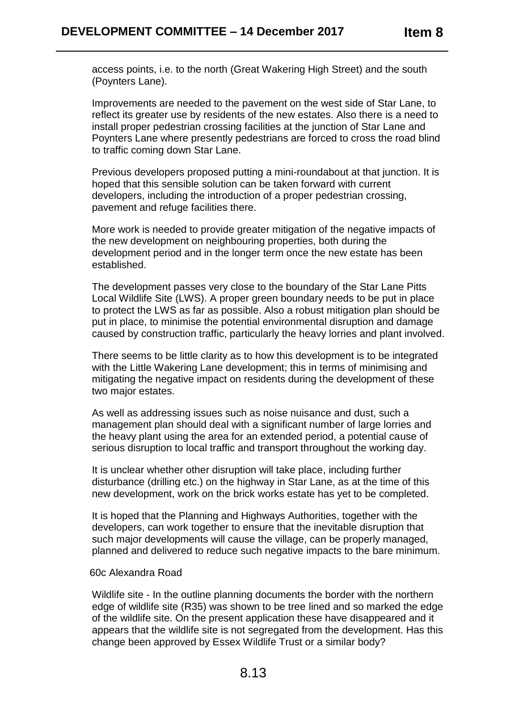access points, i.e. to the north (Great Wakering High Street) and the south (Poynters Lane).

Improvements are needed to the pavement on the west side of Star Lane, to reflect its greater use by residents of the new estates. Also there is a need to install proper pedestrian crossing facilities at the junction of Star Lane and Poynters Lane where presently pedestrians are forced to cross the road blind to traffic coming down Star Lane.

Previous developers proposed putting a mini-roundabout at that junction. It is hoped that this sensible solution can be taken forward with current developers, including the introduction of a proper pedestrian crossing, pavement and refuge facilities there.

More work is needed to provide greater mitigation of the negative impacts of the new development on neighbouring properties, both during the development period and in the longer term once the new estate has been established.

The development passes very close to the boundary of the Star Lane Pitts Local Wildlife Site (LWS). A proper green boundary needs to be put in place to protect the LWS as far as possible. Also a robust mitigation plan should be put in place, to minimise the potential environmental disruption and damage caused by construction traffic, particularly the heavy lorries and plant involved.

There seems to be little clarity as to how this development is to be integrated with the Little Wakering Lane development; this in terms of minimising and mitigating the negative impact on residents during the development of these two major estates.

As well as addressing issues such as noise nuisance and dust, such a management plan should deal with a significant number of large lorries and the heavy plant using the area for an extended period, a potential cause of serious disruption to local traffic and transport throughout the working day.

It is unclear whether other disruption will take place, including further disturbance (drilling etc.) on the highway in Star Lane, as at the time of this new development, work on the brick works estate has yet to be completed.

It is hoped that the Planning and Highways Authorities, together with the developers, can work together to ensure that the inevitable disruption that such major developments will cause the village, can be properly managed, planned and delivered to reduce such negative impacts to the bare minimum.

# 60c Alexandra Road

Wildlife site - In the outline planning documents the border with the northern edge of wildlife site (R35) was shown to be tree lined and so marked the edge of the wildlife site. On the present application these have disappeared and it appears that the wildlife site is not segregated from the development. Has this change been approved by Essex Wildlife Trust or a similar body?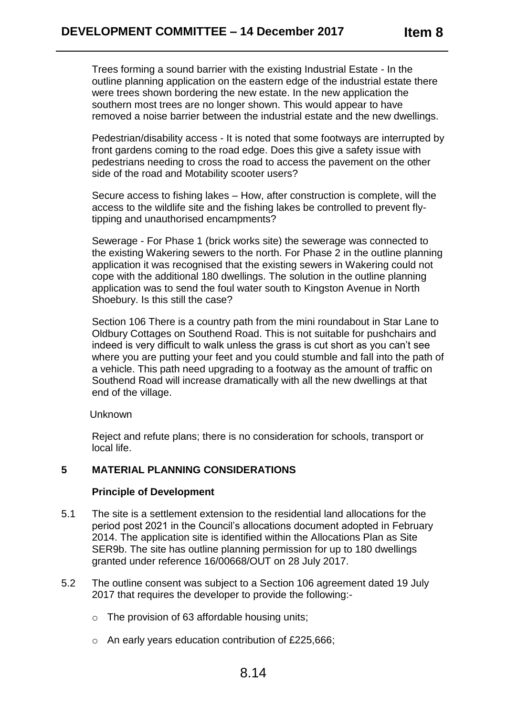Trees forming a sound barrier with the existing Industrial Estate - In the outline planning application on the eastern edge of the industrial estate there were trees shown bordering the new estate. In the new application the southern most trees are no longer shown. This would appear to have removed a noise barrier between the industrial estate and the new dwellings.

Pedestrian/disability access - It is noted that some footways are interrupted by front gardens coming to the road edge. Does this give a safety issue with pedestrians needing to cross the road to access the pavement on the other side of the road and Motability scooter users?

Secure access to fishing lakes – How, after construction is complete, will the access to the wildlife site and the fishing lakes be controlled to prevent flytipping and unauthorised encampments?

Sewerage - For Phase 1 (brick works site) the sewerage was connected to the existing Wakering sewers to the north. For Phase 2 in the outline planning application it was recognised that the existing sewers in Wakering could not cope with the additional 180 dwellings. The solution in the outline planning application was to send the foul water south to Kingston Avenue in North Shoebury. Is this still the case?

Section 106 There is a country path from the mini roundabout in Star Lane to Oldbury Cottages on Southend Road. This is not suitable for pushchairs and indeed is very difficult to walk unless the grass is cut short as you can't see where you are putting your feet and you could stumble and fall into the path of a vehicle. This path need upgrading to a footway as the amount of traffic on Southend Road will increase dramatically with all the new dwellings at that end of the village.

# Unknown

Reject and refute plans; there is no consideration for schools, transport or local life.

# **5 MATERIAL PLANNING CONSIDERATIONS**

# **Principle of Development**

- 5.1 The site is a settlement extension to the residential land allocations for the period post 2021 in the Council's allocations document adopted in February 2014. The application site is identified within the Allocations Plan as Site SER9b. The site has outline planning permission for up to 180 dwellings granted under reference 16/00668/OUT on 28 July 2017.
- 5.2 The outline consent was subject to a Section 106 agreement dated 19 July 2017 that requires the developer to provide the following:
	- o The provision of 63 affordable housing units;
	- o An early years education contribution of £225,666;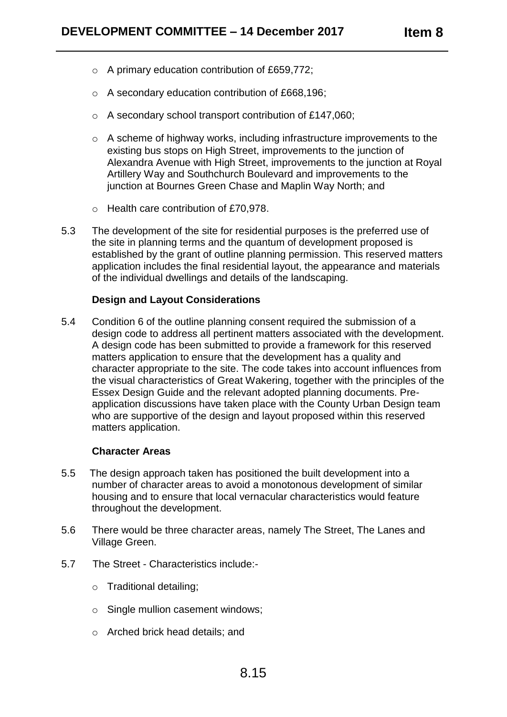- o A primary education contribution of £659,772;
- o A secondary education contribution of £668,196;
- o A secondary school transport contribution of £147,060;
- o A scheme of highway works, including infrastructure improvements to the existing bus stops on High Street, improvements to the junction of Alexandra Avenue with High Street, improvements to the junction at Royal Artillery Way and Southchurch Boulevard and improvements to the junction at Bournes Green Chase and Maplin Way North; and
- o Health care contribution of £70,978.
- 5.3 The development of the site for residential purposes is the preferred use of the site in planning terms and the quantum of development proposed is established by the grant of outline planning permission. This reserved matters application includes the final residential layout, the appearance and materials of the individual dwellings and details of the landscaping.

# **Design and Layout Considerations**

5.4 Condition 6 of the outline planning consent required the submission of a design code to address all pertinent matters associated with the development. A design code has been submitted to provide a framework for this reserved matters application to ensure that the development has a quality and character appropriate to the site. The code takes into account influences from the visual characteristics of Great Wakering, together with the principles of the Essex Design Guide and the relevant adopted planning documents. Preapplication discussions have taken place with the County Urban Design team who are supportive of the design and layout proposed within this reserved matters application.

# **Character Areas**

- 5.5 The design approach taken has positioned the built development into a number of character areas to avoid a monotonous development of similar housing and to ensure that local vernacular characteristics would feature throughout the development.
- 5.6 There would be three character areas, namely The Street, The Lanes and Village Green.
- 5.7 The Street Characteristics include:
	- o Traditional detailing;
	- o Single mullion casement windows;
	- o Arched brick head details; and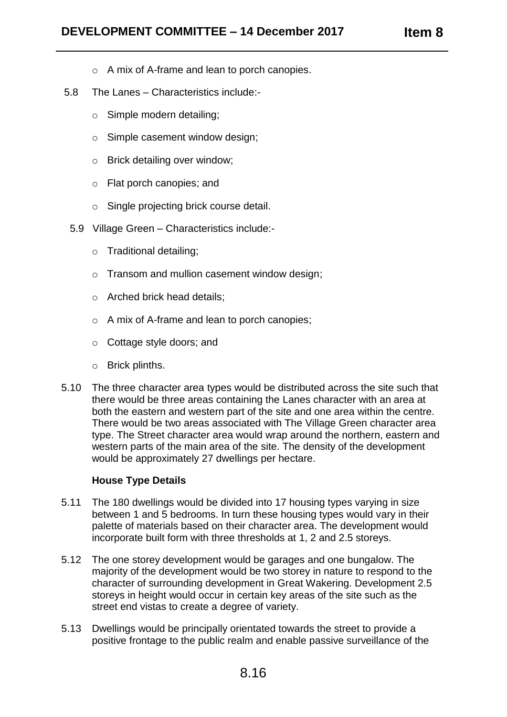- o A mix of A-frame and lean to porch canopies.
- 5.8 The Lanes Characteristics include:
	- o Simple modern detailing;
	- o Simple casement window design;
	- o Brick detailing over window;
	- o Flat porch canopies; and
	- o Single projecting brick course detail.
	- 5.9 Village Green Characteristics include:
		- o Traditional detailing;
		- o Transom and mullion casement window design;
		- o Arched brick head details;
		- o A mix of A-frame and lean to porch canopies;
		- o Cottage style doors; and
		- o Brick plinths.
- 5.10 The three character area types would be distributed across the site such that there would be three areas containing the Lanes character with an area at both the eastern and western part of the site and one area within the centre. There would be two areas associated with The Village Green character area type. The Street character area would wrap around the northern, eastern and western parts of the main area of the site. The density of the development would be approximately 27 dwellings per hectare.

# **House Type Details**

- 5.11 The 180 dwellings would be divided into 17 housing types varying in size between 1 and 5 bedrooms. In turn these housing types would vary in their palette of materials based on their character area. The development would incorporate built form with three thresholds at 1, 2 and 2.5 storeys.
- 5.12 The one storey development would be garages and one bungalow. The majority of the development would be two storey in nature to respond to the character of surrounding development in Great Wakering. Development 2.5 storeys in height would occur in certain key areas of the site such as the street end vistas to create a degree of variety.
- 5.13 Dwellings would be principally orientated towards the street to provide a positive frontage to the public realm and enable passive surveillance of the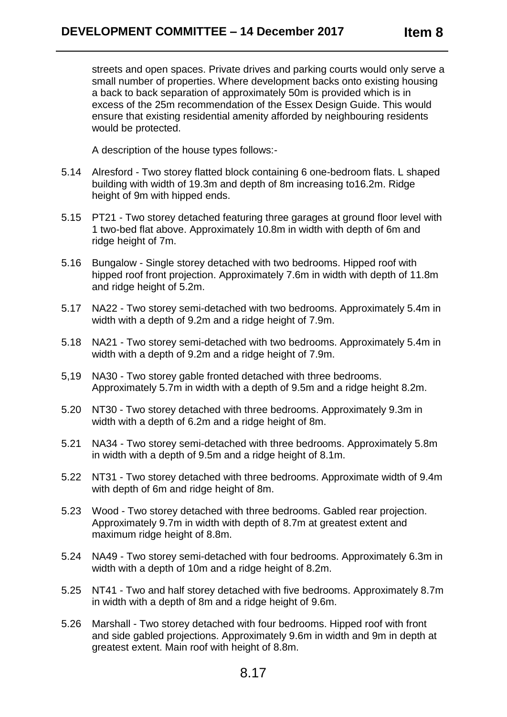streets and open spaces. Private drives and parking courts would only serve a small number of properties. Where development backs onto existing housing a back to back separation of approximately 50m is provided which is in excess of the 25m recommendation of the Essex Design Guide. This would ensure that existing residential amenity afforded by neighbouring residents would be protected.

A description of the house types follows:-

- 5.14 Alresford Two storey flatted block containing 6 one-bedroom flats. L shaped building with width of 19.3m and depth of 8m increasing to16.2m. Ridge height of 9m with hipped ends.
- 5.15 PT21 Two storey detached featuring three garages at ground floor level with 1 two-bed flat above. Approximately 10.8m in width with depth of 6m and ridge height of 7m.
- 5.16 Bungalow Single storey detached with two bedrooms. Hipped roof with hipped roof front projection. Approximately 7.6m in width with depth of 11.8m and ridge height of 5.2m.
- 5.17 NA22 Two storey semi-detached with two bedrooms. Approximately 5.4m in width with a depth of 9.2m and a ridge height of 7.9m.
- 5.18 NA21 Two storey semi-detached with two bedrooms. Approximately 5.4m in width with a depth of 9.2m and a ridge height of 7.9m.
- 5,19 NA30 Two storey gable fronted detached with three bedrooms. Approximately 5.7m in width with a depth of 9.5m and a ridge height 8.2m.
- 5.20 NT30 Two storey detached with three bedrooms. Approximately 9.3m in width with a depth of 6.2m and a ridge height of 8m.
- 5.21 NA34 Two storey semi-detached with three bedrooms. Approximately 5.8m in width with a depth of 9.5m and a ridge height of 8.1m.
- 5.22 NT31 Two storey detached with three bedrooms. Approximate width of 9.4m with depth of 6m and ridge height of 8m.
- 5.23 Wood Two storey detached with three bedrooms. Gabled rear projection. Approximately 9.7m in width with depth of 8.7m at greatest extent and maximum ridge height of 8.8m.
- 5.24 NA49 Two storey semi-detached with four bedrooms. Approximately 6.3m in width with a depth of 10m and a ridge height of 8.2m.
- 5.25 NT41 Two and half storey detached with five bedrooms. Approximately 8.7m in width with a depth of 8m and a ridge height of 9.6m.
- 5.26 Marshall Two storey detached with four bedrooms. Hipped roof with front and side gabled projections. Approximately 9.6m in width and 9m in depth at greatest extent. Main roof with height of 8.8m.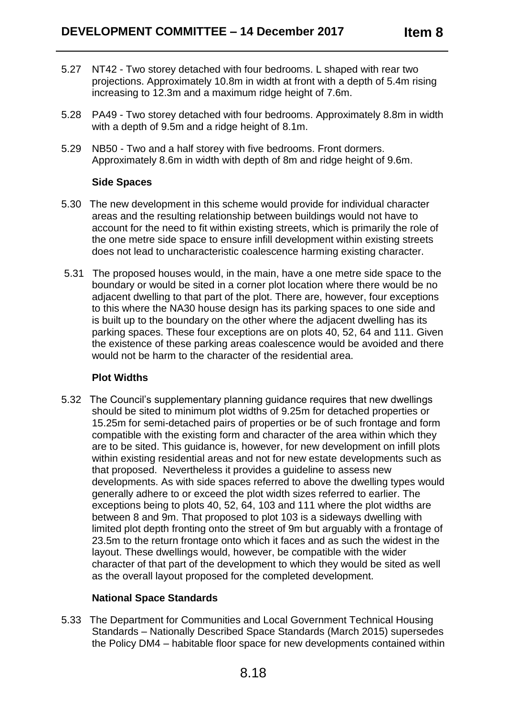- 5.27 NT42 Two storey detached with four bedrooms. L shaped with rear two projections. Approximately 10.8m in width at front with a depth of 5.4m rising increasing to 12.3m and a maximum ridge height of 7.6m.
- 5.28 PA49 Two storey detached with four bedrooms. Approximately 8.8m in width with a depth of 9.5m and a ridge height of 8.1m.
- 5.29 NB50 Two and a half storey with five bedrooms. Front dormers. Approximately 8.6m in width with depth of 8m and ridge height of 9.6m.

# **Side Spaces**

- 5.30 The new development in this scheme would provide for individual character areas and the resulting relationship between buildings would not have to account for the need to fit within existing streets, which is primarily the role of the one metre side space to ensure infill development within existing streets does not lead to uncharacteristic coalescence harming existing character.
- 5.31 The proposed houses would, in the main, have a one metre side space to the boundary or would be sited in a corner plot location where there would be no adjacent dwelling to that part of the plot. There are, however, four exceptions to this where the NA30 house design has its parking spaces to one side and is built up to the boundary on the other where the adjacent dwelling has its parking spaces. These four exceptions are on plots 40, 52, 64 and 111. Given the existence of these parking areas coalescence would be avoided and there would not be harm to the character of the residential area.

# **Plot Widths**

5.32 The Council's supplementary planning guidance requires that new dwellings should be sited to minimum plot widths of 9.25m for detached properties or 15.25m for semi-detached pairs of properties or be of such frontage and form compatible with the existing form and character of the area within which they are to be sited. This guidance is, however, for new development on infill plots within existing residential areas and not for new estate developments such as that proposed. Nevertheless it provides a guideline to assess new developments. As with side spaces referred to above the dwelling types would generally adhere to or exceed the plot width sizes referred to earlier. The exceptions being to plots 40, 52, 64, 103 and 111 where the plot widths are between 8 and 9m. That proposed to plot 103 is a sideways dwelling with limited plot depth fronting onto the street of 9m but arguably with a frontage of 23.5m to the return frontage onto which it faces and as such the widest in the layout. These dwellings would, however, be compatible with the wider character of that part of the development to which they would be sited as well as the overall layout proposed for the completed development.

# **National Space Standards**

5.33 The Department for Communities and Local Government Technical Housing Standards – Nationally Described Space Standards (March 2015) supersedes the Policy DM4 – habitable floor space for new developments contained within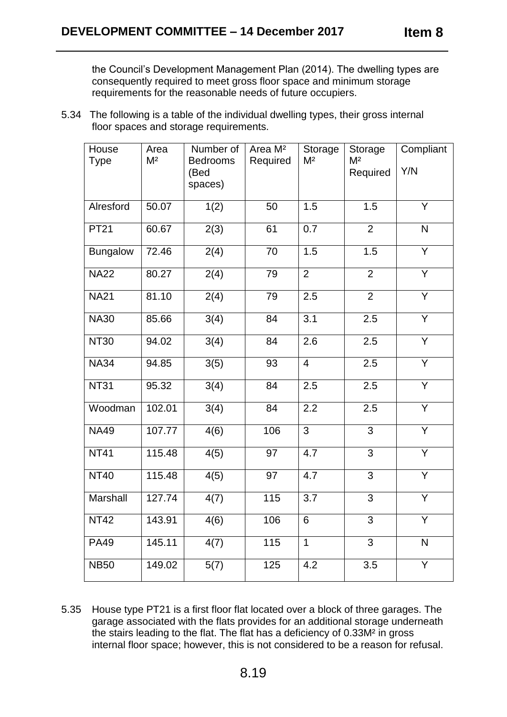the Council's Development Management Plan (2014). The dwelling types are consequently required to meet gross floor space and minimum storage requirements for the reasonable needs of future occupiers.

5.34 The following is a table of the individual dwelling types, their gross internal floor spaces and storage requirements.

| House<br><b>Type</b> | Area<br>M <sup>2</sup> | Number of<br><b>Bedrooms</b> | Area M <sup>2</sup><br>Required | Storage<br>M <sup>2</sup> | Storage<br>M <sup>2</sup> | Compliant               |
|----------------------|------------------------|------------------------------|---------------------------------|---------------------------|---------------------------|-------------------------|
|                      |                        | (Bed                         |                                 |                           | Required                  | Y/N                     |
|                      |                        | spaces)                      |                                 |                           |                           |                         |
| Alresford            | 50.07                  | 1(2)                         | 50                              | 1.5                       | 1.5                       | Y                       |
| <b>PT21</b>          | 60.67                  | 2(3)                         | 61                              | 0.7                       | $\overline{2}$            | $\mathsf{N}$            |
| Bungalow             | 72.46                  | 2(4)                         | 70                              | 1.5                       | 1.5                       | $\overline{\mathsf{Y}}$ |
| <b>NA22</b>          | 80.27                  | 2(4)                         | 79                              | $\overline{2}$            | $\overline{2}$            | $\overline{Y}$          |
| <b>NA21</b>          | 81.10                  | 2(4)                         | 79                              | 2.5                       | $\overline{2}$            | $\overline{Y}$          |
| <b>NA30</b>          | 85.66                  | 3(4)                         | 84                              | 3.1                       | 2.5                       | Y                       |
| <b>NT30</b>          | 94.02                  | 3(4)                         | 84                              | 2.6                       | 2.5                       | $\overline{Y}$          |
| <b>NA34</b>          | 94.85                  | 3(5)                         | 93                              | $\overline{4}$            | 2.5                       | $\overline{Y}$          |
| <b>NT31</b>          | 95.32                  | 3(4)                         | 84                              | 2.5                       | $\overline{2.5}$          | $\overline{Y}$          |
| Woodman              | 102.01                 | $\overline{3(4)}$            | 84                              | 2.2                       | 2.5                       | Y                       |
| <b>NA49</b>          | 107.77                 | 4(6)                         | 106                             | 3                         | 3                         | Y                       |
| <b>NT41</b>          | 115.48                 | 4(5)                         | 97                              | 4.7                       | 3                         | $\overline{Y}$          |
| <b>NT40</b>          | 115.48                 | 4(5)                         | 97                              | 4.7                       | 3                         | Y                       |
| Marshall             | $\overline{1}$ 27.74   | 4(7)                         | 115                             | 3.7                       | 3                         | $\overline{Y}$          |
| <b>NT42</b>          | 143.91                 | 4(6)                         | 106                             | 6                         | 3                         | Y                       |
| <b>PA49</b>          | 145.11                 | 4(7)                         | 115                             | $\mathbf{1}$              | 3                         | $\mathsf{N}$            |
| <b>NB50</b>          | 149.02                 | 5(7)                         | 125                             | 4.2                       | 3.5                       | Y                       |

5.35 House type PT21 is a first floor flat located over a block of three garages. The garage associated with the flats provides for an additional storage underneath the stairs leading to the flat. The flat has a deficiency of 0.33M² in gross internal floor space; however, this is not considered to be a reason for refusal.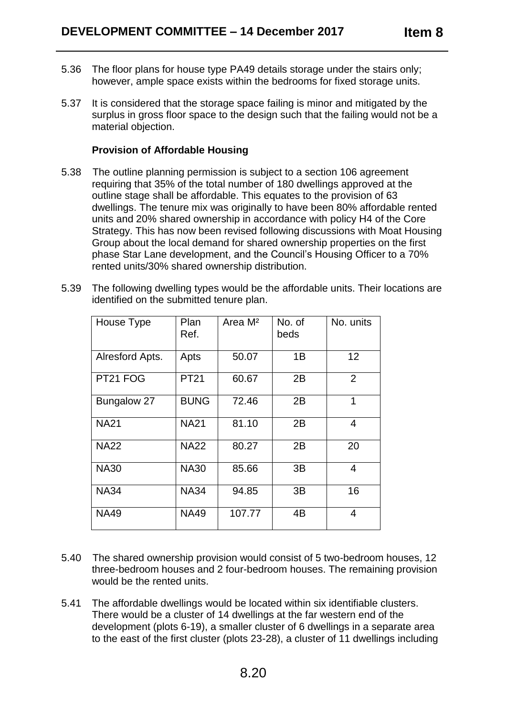- 5.36 The floor plans for house type PA49 details storage under the stairs only; however, ample space exists within the bedrooms for fixed storage units.
- 5.37 It is considered that the storage space failing is minor and mitigated by the surplus in gross floor space to the design such that the failing would not be a material objection.

# **Provision of Affordable Housing**

- 5.38 The outline planning permission is subject to a section 106 agreement requiring that 35% of the total number of 180 dwellings approved at the outline stage shall be affordable. This equates to the provision of 63 dwellings. The tenure mix was originally to have been 80% affordable rented units and 20% shared ownership in accordance with policy H4 of the Core Strategy. This has now been revised following discussions with Moat Housing Group about the local demand for shared ownership properties on the first phase Star Lane development, and the Council's Housing Officer to a 70% rented units/30% shared ownership distribution.
- 5.39 The following dwelling types would be the affordable units. Their locations are identified on the submitted tenure plan.

| House Type      | Plan<br>Ref. | Area M <sup>2</sup> | No. of<br>beds | No. units      |
|-----------------|--------------|---------------------|----------------|----------------|
| Alresford Apts. | Apts         | 50.07               | 1B             | 12             |
| PT21 FOG        | <b>PT21</b>  | 60.67               | 2B             | $\overline{2}$ |
| Bungalow 27     | <b>BUNG</b>  | 72.46               | 2B             | 1              |
| <b>NA21</b>     | <b>NA21</b>  | 81.10               | 2B             | 4              |
| <b>NA22</b>     | <b>NA22</b>  | 80.27               | 2B             | 20             |
| <b>NA30</b>     | <b>NA30</b>  | 85.66               | 3B             | 4              |
| <b>NA34</b>     | <b>NA34</b>  | 94.85               | 3B             | 16             |
| <b>NA49</b>     | <b>NA49</b>  | 107.77              | 4B             | 4              |

- 5.40 The shared ownership provision would consist of 5 two-bedroom houses, 12 three-bedroom houses and 2 four-bedroom houses. The remaining provision would be the rented units.
- 5.41 The affordable dwellings would be located within six identifiable clusters. There would be a cluster of 14 dwellings at the far western end of the development (plots 6-19), a smaller cluster of 6 dwellings in a separate area to the east of the first cluster (plots 23-28), a cluster of 11 dwellings including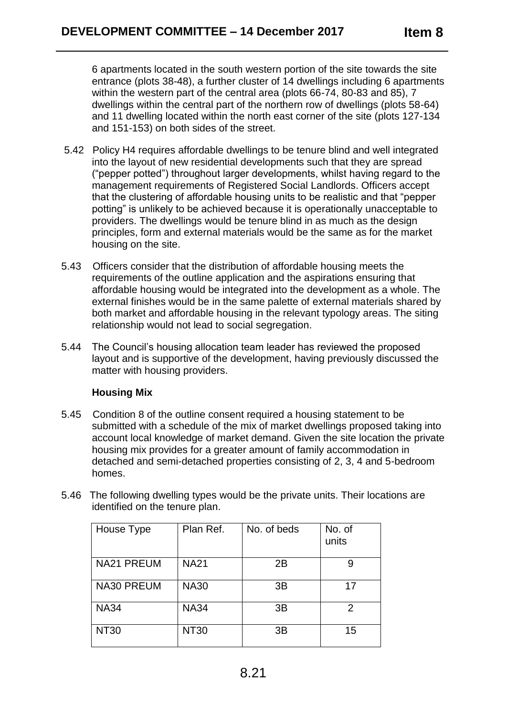6 apartments located in the south western portion of the site towards the site entrance (plots 38-48), a further cluster of 14 dwellings including 6 apartments within the western part of the central area (plots 66-74, 80-83 and 85), 7 dwellings within the central part of the northern row of dwellings (plots 58-64) and 11 dwelling located within the north east corner of the site (plots 127-134 and 151-153) on both sides of the street.

- 5.42 Policy H4 requires affordable dwellings to be tenure blind and well integrated into the layout of new residential developments such that they are spread ("pepper potted") throughout larger developments, whilst having regard to the management requirements of Registered Social Landlords. Officers accept that the clustering of affordable housing units to be realistic and that "pepper potting" is unlikely to be achieved because it is operationally unacceptable to providers. The dwellings would be tenure blind in as much as the design principles, form and external materials would be the same as for the market housing on the site.
- 5.43 Officers consider that the distribution of affordable housing meets the requirements of the outline application and the aspirations ensuring that affordable housing would be integrated into the development as a whole. The external finishes would be in the same palette of external materials shared by both market and affordable housing in the relevant typology areas. The siting relationship would not lead to social segregation.
- 5.44 The Council's housing allocation team leader has reviewed the proposed layout and is supportive of the development, having previously discussed the matter with housing providers.

# **Housing Mix**

- 5.45 Condition 8 of the outline consent required a housing statement to be submitted with a schedule of the mix of market dwellings proposed taking into account local knowledge of market demand. Given the site location the private housing mix provides for a greater amount of family accommodation in detached and semi-detached properties consisting of 2, 3, 4 and 5-bedroom homes.
- 5.46 The following dwelling types would be the private units. Their locations are identified on the tenure plan.

| House Type        | Plan Ref.   | No. of beds    | No. of<br>units |
|-------------------|-------------|----------------|-----------------|
| <b>NA21 PREUM</b> | <b>NA21</b> | 2B             | 9               |
| <b>NA30 PREUM</b> | <b>NA30</b> | 3B             | 17              |
| <b>NA34</b>       | <b>NA34</b> | 3B             | 2               |
| <b>NT30</b>       | <b>NT30</b> | 3 <sub>B</sub> | 15              |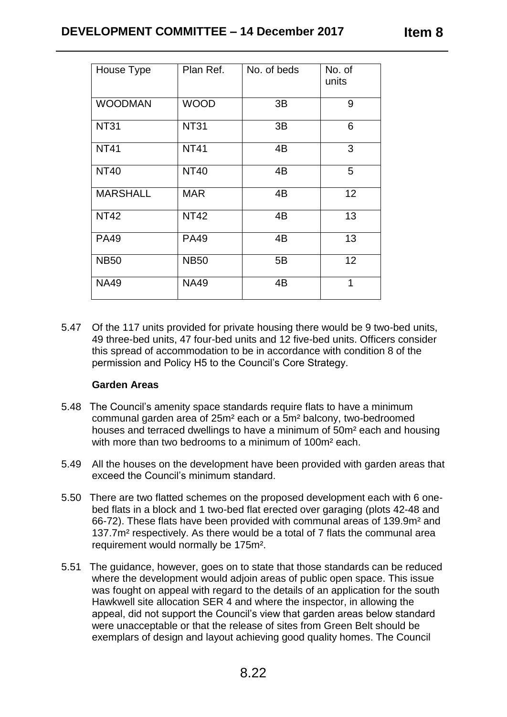| House Type      | Plan Ref.   | No. of beds | No. of<br>units |
|-----------------|-------------|-------------|-----------------|
| <b>WOODMAN</b>  | <b>WOOD</b> | 3B          | 9               |
| <b>NT31</b>     | <b>NT31</b> | 3B          | 6               |
| <b>NT41</b>     | <b>NT41</b> | 4B          | 3               |
| <b>NT40</b>     | <b>NT40</b> | 4B          | 5               |
| <b>MARSHALL</b> | <b>MAR</b>  | 4B          | 12              |
| <b>NT42</b>     | <b>NT42</b> | 4B          | 13              |
| <b>PA49</b>     | <b>PA49</b> | 4B          | 13              |
| <b>NB50</b>     | <b>NB50</b> | 5B          | 12              |
| <b>NA49</b>     | <b>NA49</b> | 4B          | 1               |

5.47 Of the 117 units provided for private housing there would be 9 two-bed units, 49 three-bed units, 47 four-bed units and 12 five-bed units. Officers consider this spread of accommodation to be in accordance with condition 8 of the permission and Policy H5 to the Council's Core Strategy.

# **Garden Areas**

- 5.48 The Council's amenity space standards require flats to have a minimum communal garden area of 25m² each or a 5m² balcony, two-bedroomed houses and terraced dwellings to have a minimum of 50m² each and housing with more than two bedrooms to a minimum of 100m<sup>2</sup> each.
- 5.49 All the houses on the development have been provided with garden areas that exceed the Council's minimum standard.
- 5.50 There are two flatted schemes on the proposed development each with 6 onebed flats in a block and 1 two-bed flat erected over garaging (plots 42-48 and 66-72). These flats have been provided with communal areas of 139.9m² and 137.7m² respectively. As there would be a total of 7 flats the communal area requirement would normally be 175m².
- 5.51 The guidance, however, goes on to state that those standards can be reduced where the development would adjoin areas of public open space. This issue was fought on appeal with regard to the details of an application for the south Hawkwell site allocation SER 4 and where the inspector, in allowing the appeal, did not support the Council's view that garden areas below standard were unacceptable or that the release of sites from Green Belt should be exemplars of design and layout achieving good quality homes. The Council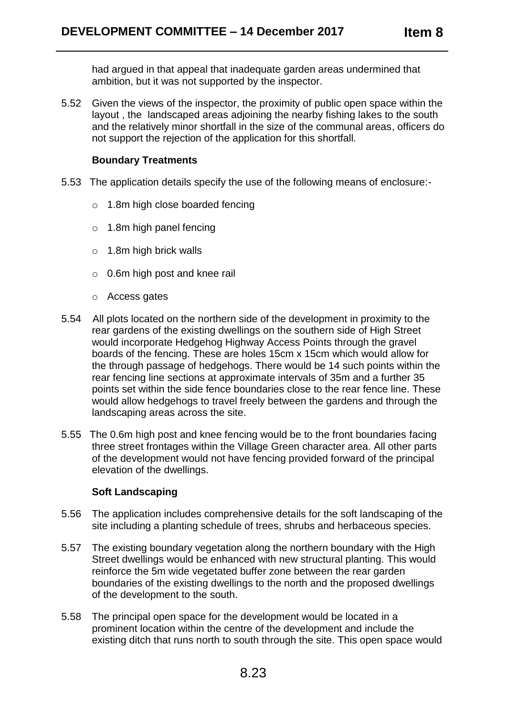had argued in that appeal that inadequate garden areas undermined that ambition, but it was not supported by the inspector.

5.52 Given the views of the inspector, the proximity of public open space within the layout , the landscaped areas adjoining the nearby fishing lakes to the south and the relatively minor shortfall in the size of the communal areas, officers do not support the rejection of the application for this shortfall.

# **Boundary Treatments**

- 5.53 The application details specify the use of the following means of enclosure:
	- o 1.8m high close boarded fencing
	- o 1.8m high panel fencing
	- o 1.8m high brick walls
	- o 0.6m high post and knee rail
	- o Access gates
- 5.54 All plots located on the northern side of the development in proximity to the rear gardens of the existing dwellings on the southern side of High Street would incorporate Hedgehog Highway Access Points through the gravel boards of the fencing. These are holes 15cm x 15cm which would allow for the through passage of hedgehogs. There would be 14 such points within the rear fencing line sections at approximate intervals of 35m and a further 35 points set within the side fence boundaries close to the rear fence line. These would allow hedgehogs to travel freely between the gardens and through the landscaping areas across the site.
- 5.55 The 0.6m high post and knee fencing would be to the front boundaries facing three street frontages within the Village Green character area. All other parts of the development would not have fencing provided forward of the principal elevation of the dwellings.

# **Soft Landscaping**

- 5.56 The application includes comprehensive details for the soft landscaping of the site including a planting schedule of trees, shrubs and herbaceous species.
- 5.57 The existing boundary vegetation along the northern boundary with the High Street dwellings would be enhanced with new structural planting. This would reinforce the 5m wide vegetated buffer zone between the rear garden boundaries of the existing dwellings to the north and the proposed dwellings of the development to the south.
- 5.58 The principal open space for the development would be located in a prominent location within the centre of the development and include the existing ditch that runs north to south through the site. This open space would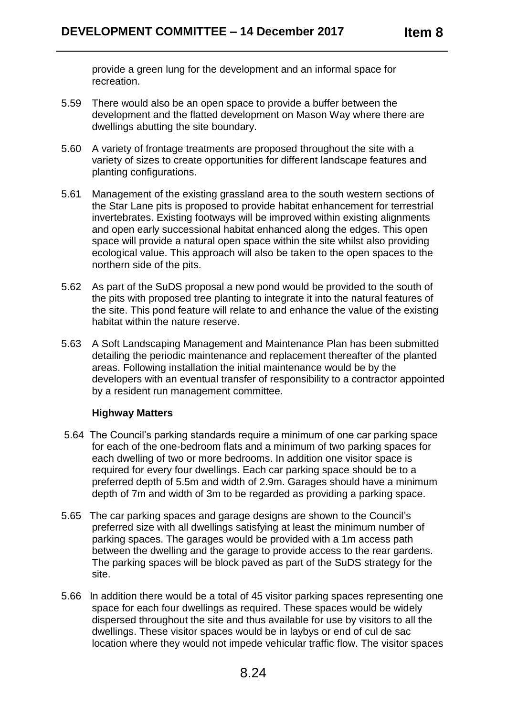provide a green lung for the development and an informal space for recreation.

- 5.59 There would also be an open space to provide a buffer between the development and the flatted development on Mason Way where there are dwellings abutting the site boundary.
- 5.60 A variety of frontage treatments are proposed throughout the site with a variety of sizes to create opportunities for different landscape features and planting configurations.
- 5.61 Management of the existing grassland area to the south western sections of the Star Lane pits is proposed to provide habitat enhancement for terrestrial invertebrates. Existing footways will be improved within existing alignments and open early successional habitat enhanced along the edges. This open space will provide a natural open space within the site whilst also providing ecological value. This approach will also be taken to the open spaces to the northern side of the pits.
- 5.62 As part of the SuDS proposal a new pond would be provided to the south of the pits with proposed tree planting to integrate it into the natural features of the site. This pond feature will relate to and enhance the value of the existing habitat within the nature reserve.
- 5.63 A Soft Landscaping Management and Maintenance Plan has been submitted detailing the periodic maintenance and replacement thereafter of the planted areas. Following installation the initial maintenance would be by the developers with an eventual transfer of responsibility to a contractor appointed by a resident run management committee.

# **Highway Matters**

- 5.64 The Council's parking standards require a minimum of one car parking space for each of the one-bedroom flats and a minimum of two parking spaces for each dwelling of two or more bedrooms. In addition one visitor space is required for every four dwellings. Each car parking space should be to a preferred depth of 5.5m and width of 2.9m. Garages should have a minimum depth of 7m and width of 3m to be regarded as providing a parking space.
- 5.65 The car parking spaces and garage designs are shown to the Council's preferred size with all dwellings satisfying at least the minimum number of parking spaces. The garages would be provided with a 1m access path between the dwelling and the garage to provide access to the rear gardens. The parking spaces will be block paved as part of the SuDS strategy for the site.
- 5.66 In addition there would be a total of 45 visitor parking spaces representing one space for each four dwellings as required. These spaces would be widely dispersed throughout the site and thus available for use by visitors to all the dwellings. These visitor spaces would be in laybys or end of cul de sac location where they would not impede vehicular traffic flow. The visitor spaces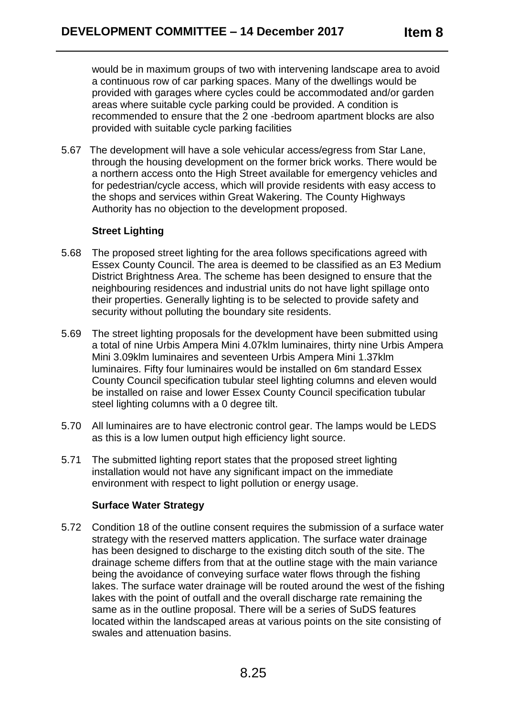would be in maximum groups of two with intervening landscape area to avoid a continuous row of car parking spaces. Many of the dwellings would be provided with garages where cycles could be accommodated and/or garden areas where suitable cycle parking could be provided. A condition is recommended to ensure that the 2 one -bedroom apartment blocks are also provided with suitable cycle parking facilities

5.67 The development will have a sole vehicular access/egress from Star Lane, through the housing development on the former brick works. There would be a northern access onto the High Street available for emergency vehicles and for pedestrian/cycle access, which will provide residents with easy access to the shops and services within Great Wakering. The County Highways Authority has no objection to the development proposed.

# **Street Lighting**

- 5.68 The proposed street lighting for the area follows specifications agreed with Essex County Council. The area is deemed to be classified as an E3 Medium District Brightness Area. The scheme has been designed to ensure that the neighbouring residences and industrial units do not have light spillage onto their properties. Generally lighting is to be selected to provide safety and security without polluting the boundary site residents.
- 5.69 The street lighting proposals for the development have been submitted using a total of nine Urbis Ampera Mini 4.07klm luminaires, thirty nine Urbis Ampera Mini 3.09klm luminaires and seventeen Urbis Ampera Mini 1.37klm luminaires. Fifty four luminaires would be installed on 6m standard Essex County Council specification tubular steel lighting columns and eleven would be installed on raise and lower Essex County Council specification tubular steel lighting columns with a 0 degree tilt.
- 5.70 All luminaires are to have electronic control gear. The lamps would be LEDS as this is a low lumen output high efficiency light source.
- 5.71 The submitted lighting report states that the proposed street lighting installation would not have any significant impact on the immediate environment with respect to light pollution or energy usage.

# **Surface Water Strategy**

5.72 Condition 18 of the outline consent requires the submission of a surface water strategy with the reserved matters application. The surface water drainage has been designed to discharge to the existing ditch south of the site. The drainage scheme differs from that at the outline stage with the main variance being the avoidance of conveying surface water flows through the fishing lakes. The surface water drainage will be routed around the west of the fishing lakes with the point of outfall and the overall discharge rate remaining the same as in the outline proposal. There will be a series of SuDS features located within the landscaped areas at various points on the site consisting of swales and attenuation basins.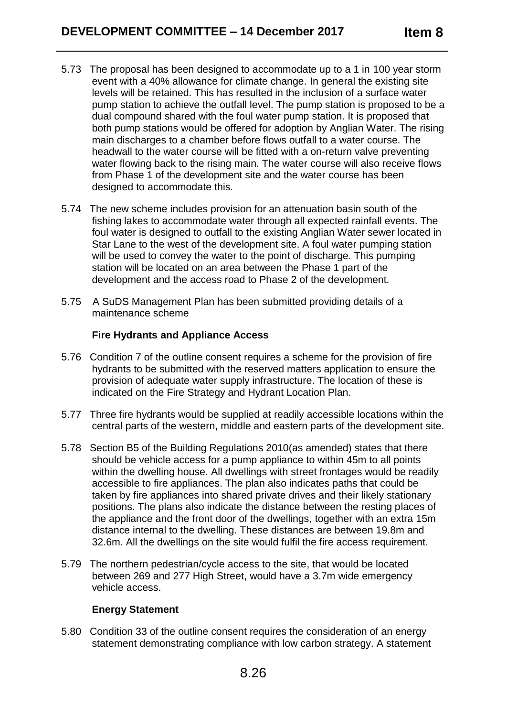- 5.73 The proposal has been designed to accommodate up to a 1 in 100 year storm event with a 40% allowance for climate change. In general the existing site levels will be retained. This has resulted in the inclusion of a surface water pump station to achieve the outfall level. The pump station is proposed to be a dual compound shared with the foul water pump station. It is proposed that both pump stations would be offered for adoption by Anglian Water. The rising main discharges to a chamber before flows outfall to a water course. The headwall to the water course will be fitted with a on-return valve preventing water flowing back to the rising main. The water course will also receive flows from Phase 1 of the development site and the water course has been designed to accommodate this.
- 5.74 The new scheme includes provision for an attenuation basin south of the fishing lakes to accommodate water through all expected rainfall events. The foul water is designed to outfall to the existing Anglian Water sewer located in Star Lane to the west of the development site. A foul water pumping station will be used to convey the water to the point of discharge. This pumping station will be located on an area between the Phase 1 part of the development and the access road to Phase 2 of the development.
- 5.75 A SuDS Management Plan has been submitted providing details of a maintenance scheme

# **Fire Hydrants and Appliance Access**

- 5.76 Condition 7 of the outline consent requires a scheme for the provision of fire hydrants to be submitted with the reserved matters application to ensure the provision of adequate water supply infrastructure. The location of these is indicated on the Fire Strategy and Hydrant Location Plan.
- 5.77 Three fire hydrants would be supplied at readily accessible locations within the central parts of the western, middle and eastern parts of the development site.
- 5.78 Section B5 of the Building Regulations 2010(as amended) states that there should be vehicle access for a pump appliance to within 45m to all points within the dwelling house. All dwellings with street frontages would be readily accessible to fire appliances. The plan also indicates paths that could be taken by fire appliances into shared private drives and their likely stationary positions. The plans also indicate the distance between the resting places of the appliance and the front door of the dwellings, together with an extra 15m distance internal to the dwelling. These distances are between 19.8m and 32.6m. All the dwellings on the site would fulfil the fire access requirement.
- 5.79 The northern pedestrian/cycle access to the site, that would be located between 269 and 277 High Street, would have a 3.7m wide emergency vehicle access.

# **Energy Statement**

5.80 Condition 33 of the outline consent requires the consideration of an energy statement demonstrating compliance with low carbon strategy. A statement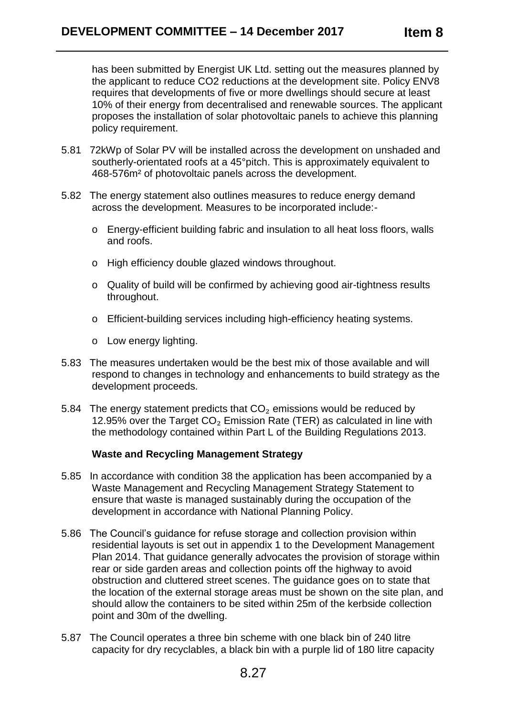has been submitted by Energist UK Ltd. setting out the measures planned by the applicant to reduce CO2 reductions at the development site. Policy ENV8 requires that developments of five or more dwellings should secure at least 10% of their energy from decentralised and renewable sources. The applicant proposes the installation of solar photovoltaic panels to achieve this planning policy requirement.

- 5.81 72kWp of Solar PV will be installed across the development on unshaded and southerly-orientated roofs at a 45°pitch. This is approximately equivalent to 468-576m² of photovoltaic panels across the development.
- 5.82 The energy statement also outlines measures to reduce energy demand across the development. Measures to be incorporated include:
	- o Energy-efficient building fabric and insulation to all heat loss floors, walls and roofs.
	- o High efficiency double glazed windows throughout.
	- o Quality of build will be confirmed by achieving good air-tightness results throughout.
	- o Efficient-building services including high-efficiency heating systems.
	- o Low energy lighting.
- 5.83 The measures undertaken would be the best mix of those available and will respond to changes in technology and enhancements to build strategy as the development proceeds.
- 5.84 The energy statement predicts that  $CO<sub>2</sub>$  emissions would be reduced by 12.95% over the Target  $CO<sub>2</sub>$  Emission Rate (TER) as calculated in line with the methodology contained within Part L of the Building Regulations 2013.

# **Waste and Recycling Management Strategy**

- 5.85 In accordance with condition 38 the application has been accompanied by a Waste Management and Recycling Management Strategy Statement to ensure that waste is managed sustainably during the occupation of the development in accordance with National Planning Policy.
- 5.86 The Council's guidance for refuse storage and collection provision within residential layouts is set out in appendix 1 to the Development Management Plan 2014. That guidance generally advocates the provision of storage within rear or side garden areas and collection points off the highway to avoid obstruction and cluttered street scenes. The guidance goes on to state that the location of the external storage areas must be shown on the site plan, and should allow the containers to be sited within 25m of the kerbside collection point and 30m of the dwelling.
- 5.87 The Council operates a three bin scheme with one black bin of 240 litre capacity for dry recyclables, a black bin with a purple lid of 180 litre capacity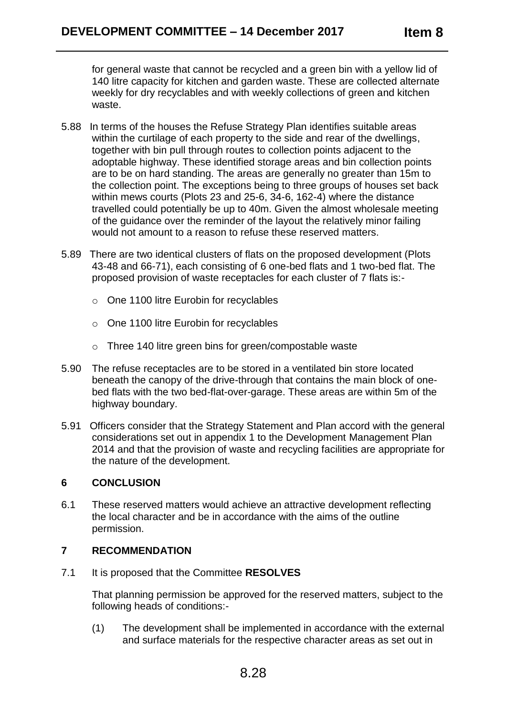for general waste that cannot be recycled and a green bin with a yellow lid of 140 litre capacity for kitchen and garden waste. These are collected alternate weekly for dry recyclables and with weekly collections of green and kitchen waste.

- 5.88 In terms of the houses the Refuse Strategy Plan identifies suitable areas within the curtilage of each property to the side and rear of the dwellings, together with bin pull through routes to collection points adjacent to the adoptable highway. These identified storage areas and bin collection points are to be on hard standing. The areas are generally no greater than 15m to the collection point. The exceptions being to three groups of houses set back within mews courts (Plots 23 and 25-6, 34-6, 162-4) where the distance travelled could potentially be up to 40m. Given the almost wholesale meeting of the guidance over the reminder of the layout the relatively minor failing would not amount to a reason to refuse these reserved matters.
- 5.89 There are two identical clusters of flats on the proposed development (Plots 43-48 and 66-71), each consisting of 6 one-bed flats and 1 two-bed flat. The proposed provision of waste receptacles for each cluster of 7 flats is:
	- o One 1100 litre Eurobin for recyclables
	- o One 1100 litre Eurobin for recyclables
	- o Three 140 litre green bins for green/compostable waste
- 5.90 The refuse receptacles are to be stored in a ventilated bin store located beneath the canopy of the drive-through that contains the main block of onebed flats with the two bed-flat-over-garage. These areas are within 5m of the highway boundary.
- 5.91 Officers consider that the Strategy Statement and Plan accord with the general considerations set out in appendix 1 to the Development Management Plan 2014 and that the provision of waste and recycling facilities are appropriate for the nature of the development.

# **6 CONCLUSION**

6.1 These reserved matters would achieve an attractive development reflecting the local character and be in accordance with the aims of the outline permission.

# **7 RECOMMENDATION**

7.1 It is proposed that the Committee **RESOLVES** 

That planning permission be approved for the reserved matters, subject to the following heads of conditions:-

(1) The development shall be implemented in accordance with the external and surface materials for the respective character areas as set out in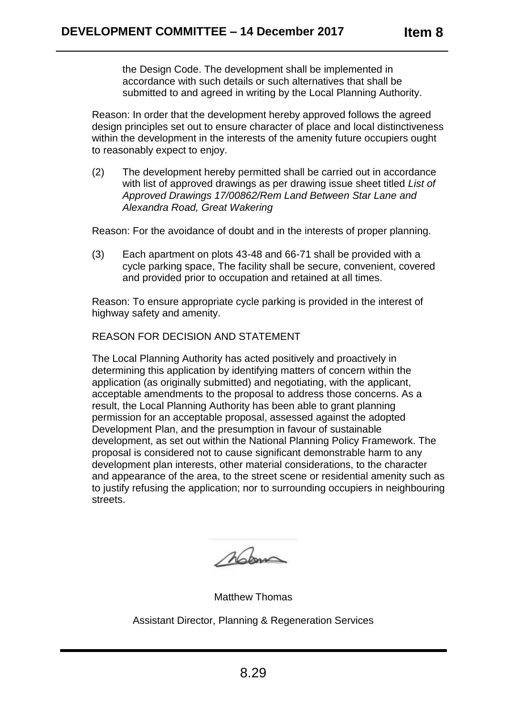the Design Code. The development shall be implemented in accordance with such details or such alternatives that shall be submitted to and agreed in writing by the Local Planning Authority.

Reason: In order that the development hereby approved follows the agreed design principles set out to ensure character of place and local distinctiveness within the development in the interests of the amenity future occupiers ought to reasonably expect to enjoy.

(2) The development hereby permitted shall be carried out in accordance with list of approved drawings as per drawing issue sheet titled *List of Approved Drawings 17/00862/Rem Land Between Star Lane and Alexandra Road, Great Wakering*

Reason: For the avoidance of doubt and in the interests of proper planning.

(3) Each apartment on plots 43-48 and 66-71 shall be provided with a cycle parking space, The facility shall be secure, convenient, covered and provided prior to occupation and retained at all times.

Reason: To ensure appropriate cycle parking is provided in the interest of highway safety and amenity.

# REASON FOR DECISION AND STATEMENT

The Local Planning Authority has acted positively and proactively in determining this application by identifying matters of concern within the application (as originally submitted) and negotiating, with the applicant, acceptable amendments to the proposal to address those concerns. As a result, the Local Planning Authority has been able to grant planning permission for an acceptable proposal, assessed against the adopted Development Plan, and the presumption in favour of sustainable development, as set out within the National Planning Policy Framework. The proposal is considered not to cause significant demonstrable harm to any development plan interests, other material considerations, to the character and appearance of the area, to the street scene or residential amenity such as to justify refusing the application; nor to surrounding occupiers in neighbouring streets.

Mom

Matthew Thomas

Assistant Director, Planning & Regeneration Services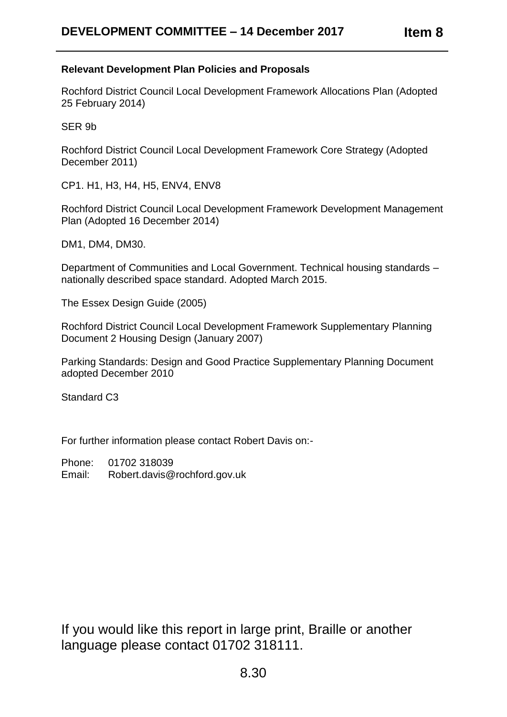# **Relevant Development Plan Policies and Proposals**

Rochford District Council Local Development Framework Allocations Plan (Adopted 25 February 2014)

SER 9b

Rochford District Council Local Development Framework Core Strategy (Adopted December 2011)

CP1. H1, H3, H4, H5, ENV4, ENV8

Rochford District Council Local Development Framework Development Management Plan (Adopted 16 December 2014)

DM1, DM4, DM30.

Department of Communities and Local Government. Technical housing standards – nationally described space standard. Adopted March 2015.

The Essex Design Guide (2005)

Rochford District Council Local Development Framework Supplementary Planning Document 2 Housing Design (January 2007)

Parking Standards: Design and Good Practice Supplementary Planning Document adopted December 2010

Standard C3

For further information please contact Robert Davis on:-

Phone: 01702 318039

Email: Robert.davis@rochford.gov.uk

If you would like this report in large print, Braille or another language please contact 01702 318111.